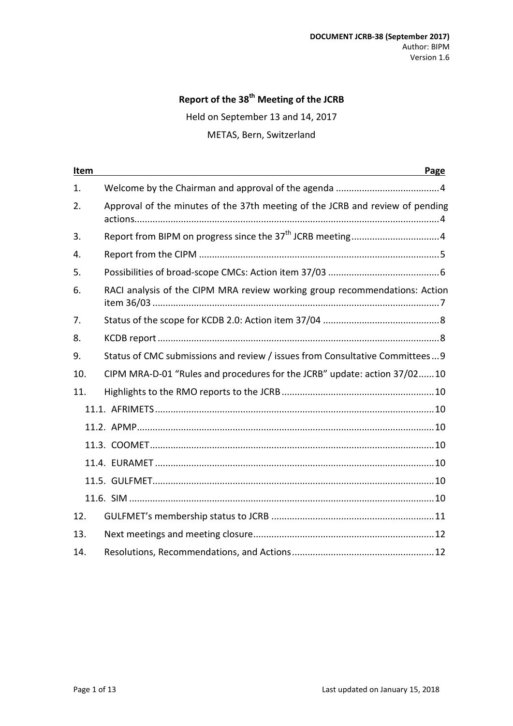# **Report of the 38th Meeting of the JCRB**

Held on September 13 and 14, 2017

METAS, Bern, Switzerland

| Item | Page                                                                          |
|------|-------------------------------------------------------------------------------|
| 1.   |                                                                               |
| 2.   | Approval of the minutes of the 37th meeting of the JCRB and review of pending |
| 3.   |                                                                               |
| 4.   |                                                                               |
| 5.   |                                                                               |
| 6.   | RACI analysis of the CIPM MRA review working group recommendations: Action    |
| 7.   |                                                                               |
| 8.   |                                                                               |
| 9.   | Status of CMC submissions and review / issues from Consultative Committees 9  |
| 10.  | CIPM MRA-D-01 "Rules and procedures for the JCRB" update: action 37/0210      |
| 11.  |                                                                               |
|      |                                                                               |
|      |                                                                               |
|      |                                                                               |
|      |                                                                               |
|      |                                                                               |
|      |                                                                               |
| 12.  |                                                                               |
| 13.  |                                                                               |
| 14.  |                                                                               |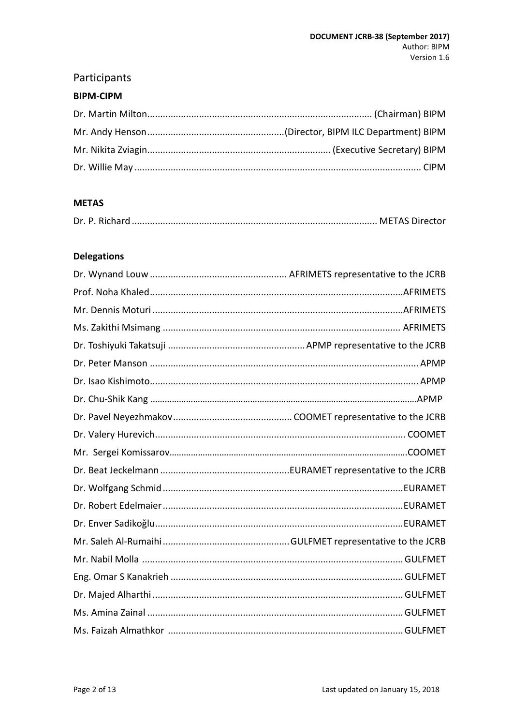# Participants

#### **BIPM-CIPM**

#### **METAS**

#### **Delegations**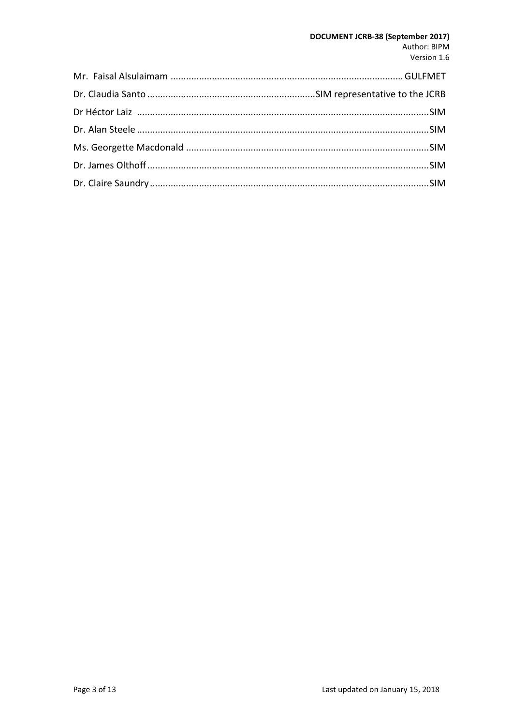#### DOCUMENT JCRB-38 (September 2017) Author: BIPM Version 1.6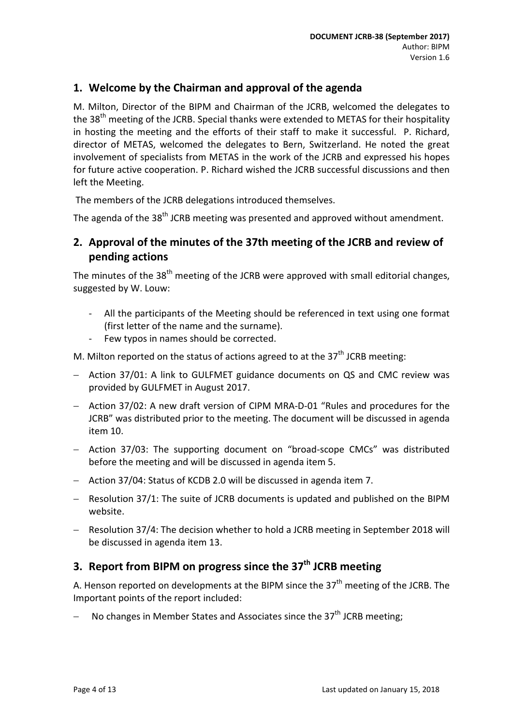#### <span id="page-3-0"></span>**1. Welcome by the Chairman and approval of the agenda**

M. Milton, Director of the BIPM and Chairman of the JCRB, welcomed the delegates to the 38<sup>th</sup> meeting of the JCRB. Special thanks were extended to METAS for their hospitality in hosting the meeting and the efforts of their staff to make it successful. P. Richard, director of METAS, welcomed the delegates to Bern, Switzerland. He noted the great involvement of specialists from METAS in the work of the JCRB and expressed his hopes for future active cooperation. P. Richard wished the JCRB successful discussions and then left the Meeting.

The members of the JCRB delegations introduced themselves.

The agenda of the 38<sup>th</sup> JCRB meeting was presented and approved without amendment.

### <span id="page-3-1"></span>**2. Approval of the minutes of the 37th meeting of the JCRB and review of pending actions**

The minutes of the 38<sup>th</sup> meeting of the JCRB were approved with small editorial changes, suggested by W. Louw:

- All the participants of the Meeting should be referenced in text using one format (first letter of the name and the surname).
- Few typos in names should be corrected.

M. Milton reported on the status of actions agreed to at the  $37<sup>th</sup>$  JCRB meeting:

- − Action 37/01: A link to GULFMET guidance documents on QS and CMC review was provided by GULFMET in August 2017.
- − Action 37/02: A new draft version of CIPM MRA-D-01 "Rules and procedures for the JCRB" was distributed prior to the meeting. The document will be discussed in agenda item 10.
- − Action 37/03: The supporting document on "broad-scope CMCs" was distributed before the meeting and will be discussed in agenda item 5.
- − Action 37/04: Status of KCDB 2.0 will be discussed in agenda item 7.
- − Resolution 37/1: The suite of JCRB documents is updated and published on the BIPM website.
- − Resolution 37/4: The decision whether to hold a JCRB meeting in September 2018 will be discussed in agenda item 13.

### <span id="page-3-2"></span>**3.** Report from BIPM on progress since the 37<sup>th</sup> JCRB meeting

A. Henson reported on developments at the BIPM since the  $37<sup>th</sup>$  meeting of the JCRB. The Important points of the report included:

No changes in Member States and Associates since the  $37<sup>th</sup>$  JCRB meeting;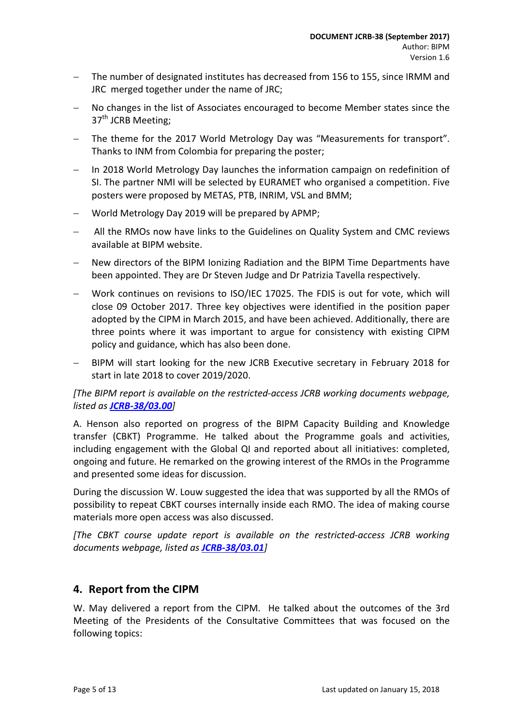- The number of designated institutes has decreased from 156 to 155, since IRMM and JRC merged together under the name of JRC;
- No changes in the list of Associates encouraged to become Member states since the 37<sup>th</sup> JCRB Meeting:
- The theme for the 2017 World Metrology Day was "Measurements for transport". Thanks to INM from Colombia for preparing the poster;
- In 2018 World Metrology Day launches the information campaign on redefinition of SI. The partner NMI will be selected by EURAMET who organised a competition. Five posters were proposed by METAS, PTB, INRIM, VSL and BMM;
- − World Metrology Day 2019 will be prepared by APMP;
- All the RMOs now have links to the Guidelines on Quality System and CMC reviews available at BIPM website.
- New directors of the BIPM Ionizing Radiation and the BIPM Time Departments have been appointed. They are Dr Steven Judge and Dr Patrizia Tavella respectively.
- − Work continues on revisions to ISO/IEC 17025. The FDIS is out for vote, which will close 09 October 2017. Three key objectives were identified in the position paper adopted by the CIPM in March 2015, and have been achieved. Additionally, there are three points where it was important to argue for consistency with existing CIPM policy and guidance, which has also been done.
- BIPM will start looking for the new JCRB Executive secretary in February 2018 for start in late 2018 to cover 2019/2020.

#### *[The BIPM report is available on the restricted-access JCRB working documents webpage, listed as [JCRB-38/03.00](https://www.bipm.org/cc/JCRB/Restricted/38/38-03.0_BIPM_Report_Progress.v6.pptx)]*

A. Henson also reported on progress of the BIPM Capacity Building and Knowledge transfer (CBKT) Programme. He talked about the Programme goals and activities, including engagement with the Global QI and reported about all initiatives: completed, ongoing and future. He remarked on the growing interest of the RMOs in the Programme and presented some ideas for discussion.

During the discussion W. Louw suggested the idea that was supported by all the RMOs of possibility to repeat CBKT courses internally inside each RMO. The idea of making course materials more open access was also discussed.

*[The CBKT course update report is available on the restricted-access JCRB working documents webpage, listed as [JCRB-38/03.01](https://www.bipm.org/cc/JCRB/Restricted/38/2017_09_CBKT_Updates_JCRB.pptx)]*

#### <span id="page-4-0"></span>**4. Report from the CIPM**

W. May delivered a report from the CIPM. He talked about the outcomes of the 3rd Meeting of the Presidents of the Consultative Committees that was focused on the following topics: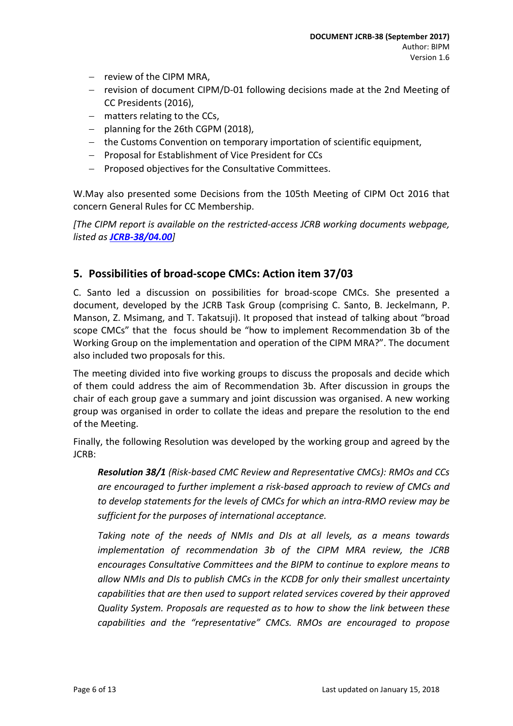- − review of the CIPM MRA,
- − revision of document CIPM/D-01 following decisions made at the 2nd Meeting of CC Presidents (2016),
- − matters relating to the CCs,
- − planning for the 26th CGPM (2018),
- − the Customs Convention on temporary importation of scientific equipment,
- − Proposal for Establishment of Vice President for CCs
- − Proposed objectives for the Consultative Committees.

W.May also presented some Decisions from the 105th Meeting of CIPM Oct 2016 that concern General Rules for CC Membership.

*[The CIPM report is available on the restricted-access JCRB working documents webpage, listed as [JCRB-38/04.00](https://www.bipm.org/cc/JCRB/Restricted/38/WEM_Report_from_the_CIPM.pptx)]*

#### <span id="page-5-0"></span>**5. Possibilities of broad-scope CMCs: Action item 37/03**

C. Santo led a discussion on possibilities for broad-scope CMCs. She presented a document, developed by the JCRB Task Group (comprising C. Santo, B. Jeckelmann, P. Manson, Z. Msimang, and T. Takatsuji). It proposed that instead of talking about "broad scope CMCs" that the focus should be "how to implement Recommendation 3b of the Working Group on the implementation and operation of the CIPM MRA?". The document also included two proposals for this.

The meeting divided into five working groups to discuss the proposals and decide which of them could address the aim of Recommendation 3b. After discussion in groups the chair of each group gave a summary and joint discussion was organised. A new working group was organised in order to collate the ideas and prepare the resolution to the end of the Meeting.

Finally, the following Resolution was developed by the working group and agreed by the JCRB:

*Resolution 38/1 (Risk-based CMC Review and Representative CMCs): RMOs and CCs are encouraged to further implement a risk-based approach to review of CMCs and to develop statements for the levels of CMCs for which an intra-RMO review may be sufficient for the purposes of international acceptance.*

*Taking note of the needs of NMIs and DIs at all levels, as a means towards implementation of recommendation 3b of the CIPM MRA review, the JCRB encourages Consultative Committees and the BIPM to continue to explore means to allow NMIs and DIs to publish CMCs in the KCDB for only their smallest uncertainty capabilities that are then used to support related services covered by their approved Quality System. Proposals are requested as to how to show the link between these capabilities and the "representative" CMCs. RMOs are encouraged to propose*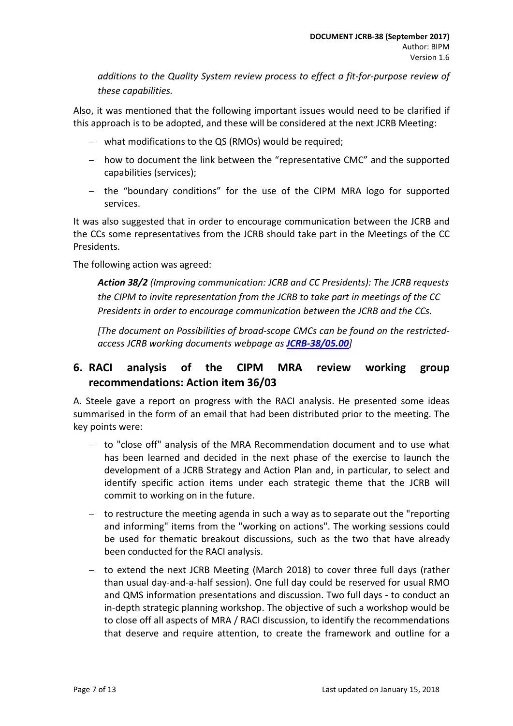*additions to the Quality System review process to effect a fit-for-purpose review of these capabilities.* 

Also, it was mentioned that the following important issues would need to be clarified if this approach is to be adopted, and these will be considered at the next JCRB Meeting:

- − what modifications to the QS (RMOs) would be required;
- − how to document the link between the "representative CMC" and the supported capabilities (services);
- − the "boundary conditions" for the use of the CIPM MRA logo for supported services.

It was also suggested that in order to encourage communication between the JCRB and the CCs some representatives from the JCRB should take part in the Meetings of the CC Presidents.

The following action was agreed:

*Action 38/2 (Improving communication: JCRB and CC Presidents): The JCRB requests the CIPM to invite representation from the JCRB to take part in meetings of the CC Presidents in order to encourage communication between the JCRB and the CCs.*

*[The document on Possibilities of broad-scope CMCs can be found on the restrictedaccess JCRB working documents webpage as [JCRB-38/05.00](https://www.bipm.org/cc/JCRB/Restricted/38/Broad_scope_groupv03finaldoc.docx)]*

### <span id="page-6-0"></span>**6. RACI analysis of the CIPM MRA review working group recommendations: Action item 36/03**

A. Steele gave a report on progress with the RACI analysis. He presented some ideas summarised in the form of an email that had been distributed prior to the meeting. The key points were:

- − to "close off" analysis of the MRA Recommendation document and to use what has been learned and decided in the next phase of the exercise to launch the development of a JCRB Strategy and Action Plan and, in particular, to select and identify specific action items under each strategic theme that the JCRB will commit to working on in the future.
- − to restructure the meeting agenda in such a way as to separate out the "reporting and informing" items from the "working on actions". The working sessions could be used for thematic breakout discussions, such as the two that have already been conducted for the RACI analysis.
- − to extend the next JCRB Meeting (March 2018) to cover three full days (rather than usual day-and-a-half session). One full day could be reserved for usual RMO and QMS information presentations and discussion. Two full days - to conduct an in-depth strategic planning workshop. The objective of such a workshop would be to close off all aspects of MRA / RACI discussion, to identify the recommendations that deserve and require attention, to create the framework and outline for a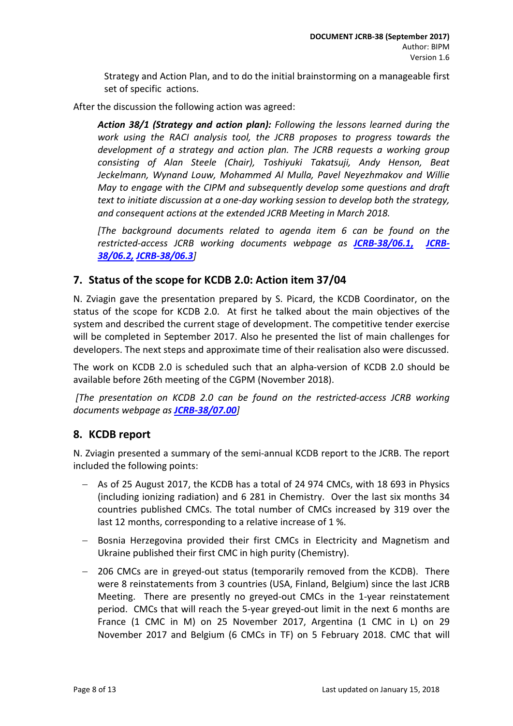Strategy and Action Plan, and to do the initial brainstorming on a manageable first set of specific actions.

After the discussion the following action was agreed:

*Action 38/1 (Strategy and action plan): Following the lessons learned during the work using the RACI analysis tool, the JCRB proposes to progress towards the development of a strategy and action plan. The JCRB requests a working group consisting of Alan Steele (Chair), Toshiyuki Takatsuji, Andy Henson, Beat Jeckelmann, Wynand Louw, Mohammed Al Mulla, Pavel Neyezhmakov and Willie May to engage with the CIPM and subsequently develop some questions and draft text to initiate discussion at a one-day working session to develop both the strategy, and consequent actions at the extended JCRB Meeting in March 2018.* 

*[The background documents related to agenda item 6 can be found on the restricted-access JCRB working documents webpage as [JCRB-38/06.1](https://www.bipm.org/cc/JCRB/Restricted/38/Alan_Steele_email_of_2017-08-23.pdf)***,** *[JCRB-](https://www.bipm.org/cc/JCRB/Restricted/38/JCRB_MRA_Review_and_Strategy_v1.docx)[38/06.2,](https://www.bipm.org/cc/JCRB/Restricted/38/JCRB_MRA_Review_and_Strategy_v1.docx) [JCRB-38/06.3](https://www.bipm.org/cc/JCRB/Restricted/38/Steele_MRA_Review_JCRB.PPTX)]*

#### <span id="page-7-0"></span>**7. Status of the scope for KCDB 2.0: Action item 37/04**

N. Zviagin gave the presentation prepared by S. Picard, the KCDB Coordinator, on the status of the scope for KCDB 2.0. At first he talked about the main objectives of the system and described the current stage of development. The competitive tender exercise will be completed in September 2017. Also he presented the list of main challenges for developers. The next steps and approximate time of their realisation also were discussed.

The work on KCDB 2.0 is scheduled such that an alpha-version of KCDB 2.0 should be available before 26th meeting of the CGPM (November 2018).

*[The presentation on KCDB 2.0 can be found on the restricted-access JCRB working documents webpage as [JCRB-38/07.00](https://www.bipm.org/cc/JCRB/Restricted/38/Presentation_on_NEW_KCDB_2.0_v2.pptx)]*

#### <span id="page-7-1"></span>**8. KCDB report**

N. Zviagin presented a summary of the semi-annual KCDB report to the JCRB. The report included the following points:

- − As of 25 August 2017, the KCDB has a total of 24 974 CMCs, with 18 693 in Physics (including ionizing radiation) and 6 281 in Chemistry. Over the last six months 34 countries published CMCs. The total number of CMCs increased by 319 over the last 12 months, corresponding to a relative increase of 1 %.
- − Bosnia Herzegovina provided their first CMCs in Electricity and Magnetism and Ukraine published their first CMC in high purity (Chemistry).
- − 206 CMCs are in greyed-out status (temporarily removed from the KCDB). There were 8 reinstatements from 3 countries (USA, Finland, Belgium) since the last JCRB Meeting. There are presently no greyed-out CMCs in the 1-year reinstatement period. CMCs that will reach the 5-year greyed-out limit in the next 6 months are France (1 CMC in M) on 25 November 2017, Argentina (1 CMC in L) on 29 November 2017 and Belgium (6 CMCs in TF) on 5 February 2018. CMC that will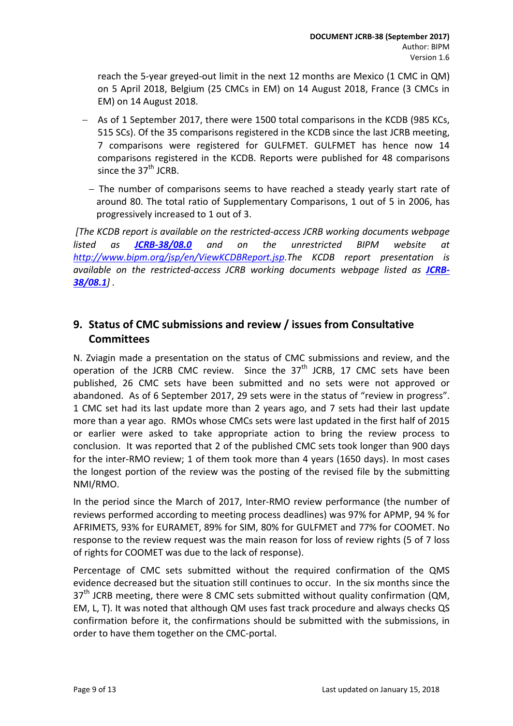reach the 5-year greyed-out limit in the next 12 months are Mexico (1 CMC in QM) on 5 April 2018, Belgium (25 CMCs in EM) on 14 August 2018, France (3 CMCs in EM) on 14 August 2018.

- − As of 1 September 2017, there were 1500 total comparisons in the KCDB (985 KCs, 515 SCs). Of the 35 comparisons registered in the KCDB since the last JCRB meeting, 7 comparisons were registered for GULFMET. GULFMET has hence now 14 comparisons registered in the KCDB. Reports were published for 48 comparisons since the  $37<sup>th</sup>$  JCRB.
	- − The number of comparisons seems to have reached a steady yearly start rate of around 80. The total ratio of Supplementary Comparisons, 1 out of 5 in 2006, has progressively increased to 1 out of 3.

*[The KCDB report is available on the restricted-access JCRB working documents webpage listed as [JCRB-38/08.0](https://www.bipm.org/cc/JCRB/Restricted/38/KCDB_Report_to_38th_JCRB_v4.pdf) and on the unrestricted BIPM website at <http://www.bipm.org/jsp/en/ViewKCDBReport.jsp>*.*The KCDB report presentation is*  available on the restricted-access JCRB working documents webpage listed as [JCRB-](https://www.bipm.org/cc/JCRB/Restricted/38/Presentation_to_the_JCRB_38_Sep_2017_v2.pptx)*[38/08.1](https://www.bipm.org/cc/JCRB/Restricted/38/Presentation_to_the_JCRB_38_Sep_2017_v2.pptx)] .*

### <span id="page-8-0"></span>**9. Status of CMC submissions and review / issues from Consultative Committees**

N. Zviagin made a presentation on the status of CMC submissions and review, and the operation of the JCRB CMC review. Since the  $37<sup>th</sup>$  JCRB, 17 CMC sets have been published, 26 CMC sets have been submitted and no sets were not approved or abandoned. As of 6 September 2017, 29 sets were in the status of "review in progress". 1 CMC set had its last update more than 2 years ago, and 7 sets had their last update more than a year ago. RMOs whose CMCs sets were last updated in the first half of 2015 or earlier were asked to take appropriate action to bring the review process to conclusion. It was reported that 2 of the published CMC sets took longer than 900 days for the inter-RMO review; 1 of them took more than 4 years (1650 days). In most cases the longest portion of the review was the posting of the revised file by the submitting NMI/RMO.

In the period since the March of 2017, Inter-RMO review performance (the number of reviews performed according to meeting process deadlines) was 97% for APMP, 94 % for AFRIMETS, 93% for EURAMET, 89% for SIM, 80% for GULFMET and 77% for COOMET. No response to the review request was the main reason for loss of review rights (5 of 7 loss of rights for COOMET was due to the lack of response).

Percentage of CMC sets submitted without the required confirmation of the QMS evidence decreased but the situation still continues to occur. In the six months since the  $37<sup>th</sup>$  JCRB meeting, there were 8 CMC sets submitted without quality confirmation (QM, EM, L, T). It was noted that although QM uses fast track procedure and always checks QS confirmation before it, the confirmations should be submitted with the submissions, in order to have them together on the CMC-portal.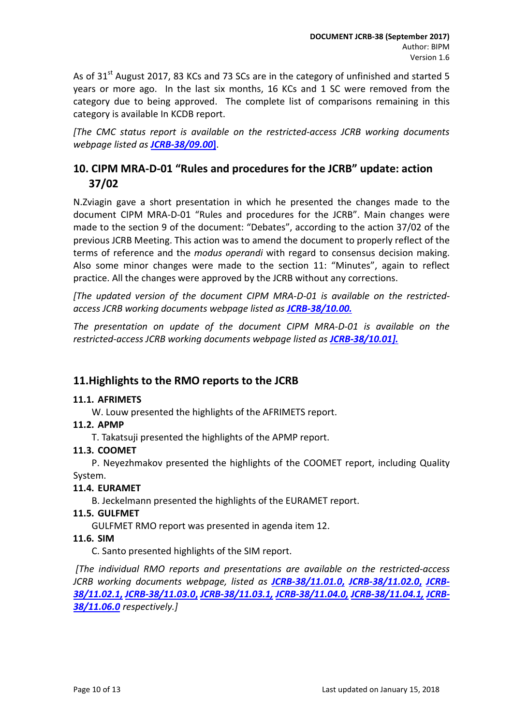As of 31<sup>st</sup> August 2017, 83 KCs and 73 SCs are in the category of unfinished and started 5 years or more ago. In the last six months, 16 KCs and 1 SC were removed from the category due to being approved. The complete list of comparisons remaining in this category is available In KCDB report.

*[The CMC status report is available on the restricted-access JCRB working documents webpage listed as [JCRB-38/09.00](https://www.bipm.org/cc/JCRB/Restricted/38/Status_of_CMCs_v3.pptx)***]**.

## <span id="page-9-0"></span>**10. CIPM MRA-D-01 "Rules and procedures for the JCRB" update: action 37/02**

N.Zviagin gave a short presentation in which he presented the changes made to the document CIPM MRA-D-01 "Rules and procedures for the JCRB". Main changes were made to the section 9 of the document: "Debates", according to the action 37/02 of the previous JCRB Meeting. This action was to amend the document to properly reflect of the terms of reference and the *modus operandi* with regard to consensus decision making. Also some minor changes were made to the section 11: "Minutes", again to reflect practice. All the changes were approved by the JCRB without any corrections.

*[The updated version of the document CIPM MRA-D-01 is available on the restrictedaccess JCRB working documents webpage listed as [JCRB-38/10.00.](https://www.bipm.org/cc/JCRB/Restricted/38/CIPM_MRA-D-01_JCRB_Rules_of_procedure_V7-2017-09.doc)*

*The presentation on update of the document CIPM MRA-D-01 is available on the restricted-access JCRB working documents webpage listed as JCRB-38/10.01].*

### <span id="page-9-1"></span>**11.Highlights to the RMO reports to the JCRB**

#### <span id="page-9-2"></span>**11.1. AFRIMETS**

W. Louw presented the highlights of the AFRIMETS report.

#### <span id="page-9-3"></span>**11.2. APMP**

T. Takatsuji presented the highlights of the APMP report.

#### <span id="page-9-4"></span>**11.3. COOMET**

P. Neyezhmakov presented the highlights of the COOMET report, including Quality System.

#### <span id="page-9-5"></span>**11.4. EURAMET**

B. Jeckelmann presented the highlights of the EURAMET report.

#### <span id="page-9-6"></span>**11.5. GULFMET**

GULFMET RMO report was presented in agenda item 12.

#### <span id="page-9-7"></span>**11.6. SIM**

C. Santo presented highlights of the SIM report.

*[The individual RMO reports and presentations are available on the restricted-access JCRB working documents webpage, listed as [JCRB-38/11.01.0](https://www.bipm.org/cc/JCRB/Restricted/38/11.1_AFRIMETS_Report_38th_JCRB_2017.doc)***,** *[JCRB-38/11.02.0](https://www.bipm.org/cc/JCRB/Restricted/38/11.2_APMP_Report_to_JCRB_20170913-14.doc)***,** *[JCRB-](https://www.bipm.org/cc/JCRB/Restricted/38/11.2_APMP_Report_to_JCRB_20170913-14.pptx)[38/11.02.1](https://www.bipm.org/cc/JCRB/Restricted/38/11.2_APMP_Report_to_JCRB_20170913-14.pptx)***,** *[JCRB-38/11.03.0](https://www.bipm.org/cc/JCRB/Restricted/38/11.3_JCRB38_COOMET_Report.pdf)***,** *[JCRB-38/11.03.1,](https://www.bipm.org/cc/JCRB/Restricted/38/JCRB-38_COOMET_Report.ppt) [JCRB-38/11.04.0,](https://www.bipm.org/cc/JCRB/Restricted/38/EURAMET-Report_38th-JCRB_170904.pdf) [JCRB-38/11.04.1,](https://www.bipm.org/cc/JCRB/Restricted/38/38th-JCRB_EURAMET_Presentation.pptx) [JCRB-](https://www.bipm.org/cc/JCRB/Restricted/38/11.6_presentacionSIM_JCRB-9-2017.ppt)[38/11.06.0](https://www.bipm.org/cc/JCRB/Restricted/38/11.6_presentacionSIM_JCRB-9-2017.ppt) respectively.]*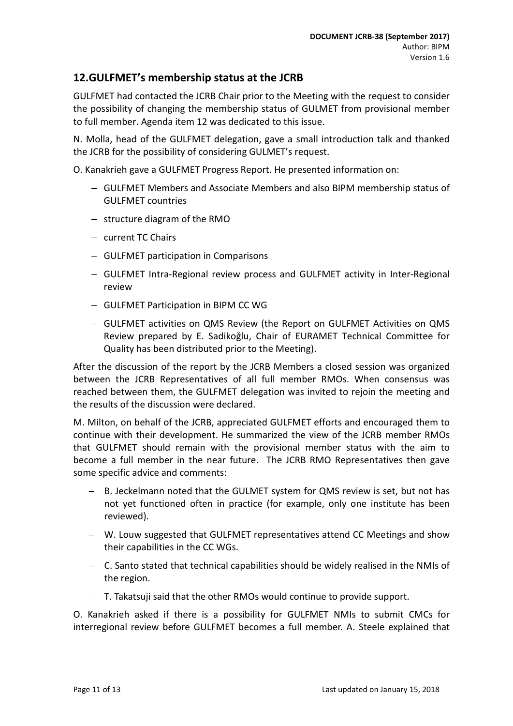### <span id="page-10-0"></span>**12.GULFMET's membership status at the JCRB**

GULFMET had contacted the JCRB Chair prior to the Meeting with the request to consider the possibility of changing the membership status of GULMET from provisional member to full member. Agenda item 12 was dedicated to this issue.

N. Molla, head of the GULFMET delegation, gave a small introduction talk and thanked the JCRB for the possibility of considering GULMET's request.

O. Kanakrieh gave a GULFMET Progress Report. He presented information on:

- − GULFMET Members and Associate Members and also BIPM membership status of GULFMET countries
- − structure diagram of the RMO
- − current TC Chairs
- − GULFMET participation in Comparisons
- − GULFMET Intra-Regional review process and GULFMET activity in Inter-Regional review
- − GULFMET Participation in BIPM CC WG
- − GULFMET activities on QMS Review (the Report on GULFMET Activities on QMS Review prepared by E. Sadikoǧlu, Chair of EURAMET Technical Committee for Quality has been distributed prior to the Meeting).

After the discussion of the report by the JCRB Members a closed session was organized between the JCRB Representatives of all full member RMOs. When consensus was reached between them, the GULFMET delegation was invited to rejoin the meeting and the results of the discussion were declared.

M. Milton, on behalf of the JCRB, appreciated GULFMET efforts and encouraged them to continue with their development. He summarized the view of the JCRB member RMOs that GULFMET should remain with the provisional member status with the aim to become a full member in the near future. The JCRB RMO Representatives then gave some specific advice and comments:

- − B. Jeckelmann noted that the GULMET system for QMS review is set, but not has not yet functioned often in practice (for example, only one institute has been reviewed).
- − W. Louw suggested that GULFMET representatives attend CC Meetings and show their capabilities in the CC WGs.
- − C. Santo stated that technical capabilities should be widely realised in the NMIs of the region.
- − T. Takatsuji said that the other RMOs would continue to provide support.

O. Kanakrieh asked if there is a possibility for GULFMET NMIs to submit CMCs for interregional review before GULFMET becomes a full member. A. Steele explained that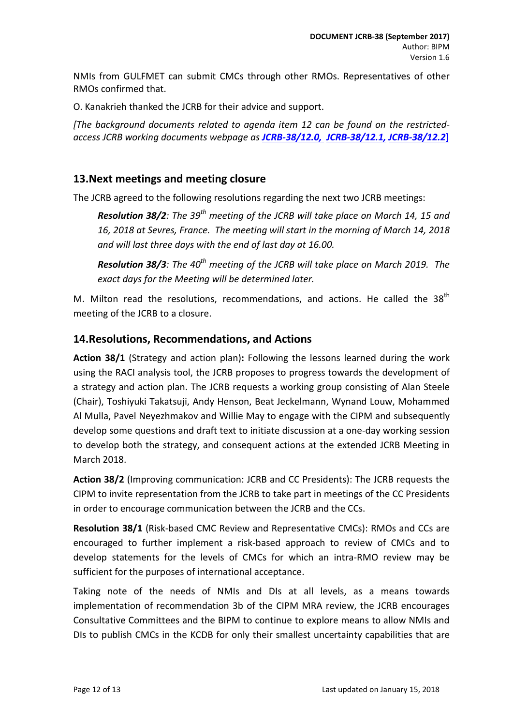NMIs from GULFMET can submit CMCs through other RMOs. Representatives of other RMOs confirmed that.

O. Kanakrieh thanked the JCRB for their advice and support.

*[The background documents related to agenda item 12 can be found on the restrictedaccess JCRB working documents webpage as [JCRB-38/12.0,](https://www.bipm.org/cc/JCRB/Restricted/38/GULFMET_report_2017.pdf) [JCRB-38/12.1,](https://www.bipm.org/cc/JCRB/Restricted/38/Report_GULFMET_TC-QS.pdf) [JCRB-38/12.2](https://www.bipm.org/cc/JCRB/Restricted/38/38th_Meeting_of_JCRB_Agenda_12.0.ppt)***]**

#### <span id="page-11-0"></span>**13.Next meetings and meeting closure**

The JCRB agreed to the following resolutions regarding the next two JCRB meetings:

*Resolution 38/2: The 39th meeting of the JCRB will take place on March 14, 15 and 16, 2018 at Sevres, France. The meeting will start in the morning of March 14, 2018 and will last three days with the end of last day at 16.00.*

*Resolution 38/3: The 40th meeting of the JCRB will take place on March 2019. The exact days for the Meeting will be determined later.*

M. Milton read the resolutions, recommendations, and actions. He called the  $38<sup>th</sup>$ meeting of the JCRB to a closure.

#### <span id="page-11-1"></span>**14.Resolutions, Recommendations, and Actions**

**Action 38/1** (Strategy and action plan)**:** Following the lessons learned during the work using the RACI analysis tool, the JCRB proposes to progress towards the development of a strategy and action plan. The JCRB requests a working group consisting of Alan Steele (Chair), Toshiyuki Takatsuji, Andy Henson, Beat Jeckelmann, Wynand Louw, Mohammed Al Mulla, Pavel Neyezhmakov and Willie May to engage with the CIPM and subsequently develop some questions and draft text to initiate discussion at a one-day working session to develop both the strategy, and consequent actions at the extended JCRB Meeting in March 2018.

**Action 38/2** (Improving communication: JCRB and CC Presidents): The JCRB requests the CIPM to invite representation from the JCRB to take part in meetings of the CC Presidents in order to encourage communication between the JCRB and the CCs.

**Resolution 38/1** (Risk-based CMC Review and Representative CMCs): RMOs and CCs are encouraged to further implement a risk-based approach to review of CMCs and to develop statements for the levels of CMCs for which an intra-RMO review may be sufficient for the purposes of international acceptance.

Taking note of the needs of NMIs and DIs at all levels, as a means towards implementation of recommendation 3b of the CIPM MRA review, the JCRB encourages Consultative Committees and the BIPM to continue to explore means to allow NMIs and DIs to publish CMCs in the KCDB for only their smallest uncertainty capabilities that are